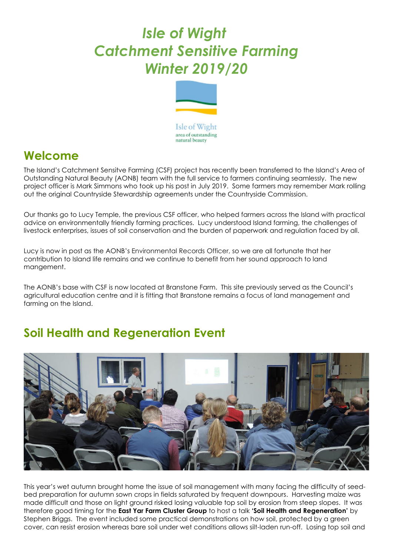## *Isle of Wight Catchment Sensitive Farming Winter 2019/20*



## **Welcome**

The Island's Catchment Sensitve Farming (CSF) project has recently been transferred to the Island's Area of Outstanding Natural Beauty (AONB) team with the full service to farmers continuing seamlessly. The new project officer is Mark Simmons who took up his post in July 2019. Some farmers may remember Mark rolling out the original Countryside Stewardship agreements under the Countryside Commission.

Our thanks go to Lucy Temple, the previous CSF officer, who helped farmers across the Island with practical advice on environmentally friendly farming practices. Lucy understood Island farming, the challenges of livestock enterprises, issues of soil conservation and the burden of paperwork and regulation faced by all.

Lucy is now in post as the AONB's Environmental Records Officer, so we are all fortunate that her contribution to Island life remains and we continue to benefit from her sound approach to land mangement.

The AONB's base with CSF is now located at Branstone Farm. This site previously served as the Council's agricultural education centre and it is fitting that Branstone remains a focus of land management and farming on the Island.

## **Soil Health and Regeneration Event**



This year's wet autumn brought home the issue of soil management with many facing the difficulty of seedbed preparation for autumn sown crops in fields saturated by frequent downpours. Harvesting maize was made difficult and those on light ground risked losing valuable top soil by erosion from steep slopes. It was therefore good timing for the **East Yar Farm Cluster Group** to host a talk **'Soil Health and Regeneration'** by Stephen Briggs. The event included some practical demonstrations on how soil, protected by a green cover, can resist erosion whereas bare soil under wet conditions allows silt-laden run-off. Losing top soil and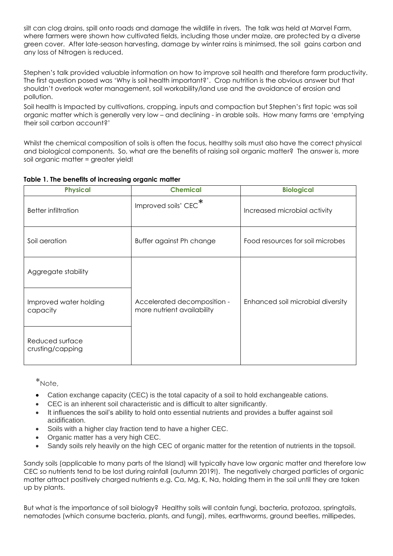silt can clog drains, spill onto roads and damage the wildlife in rivers. The talk was held at Marvel Farm, where farmers were shown how cultivated fields, including those under maize, are protected by a diverse green cover. After late-season harvesting, damage by winter rains is minimsed, the soil gains carbon and any loss of Nitrogen is reduced.

Stephen's talk provided valuable information on how to improve soil health and therefore farm productivity. The first question posed was 'Why is soil health important?'. Crop nutrition is the obvious answer but that shouldn't overlook water management, soil workability/land use and the avoidance of erosion and pollution.

Soil health is Impacted by cultivations, cropping, inputs and compaction but Stephen's first topic was soil organic matter which is generally very low – and declining - in arable soils. How many farms are 'emptying their soil carbon account?'

Whilst the chemical composition of soils is often the focus, healthy soils must also have the correct physical and biological components. So, what are the benefits of raising soil organic matter? The answer is, more soil organic matter = greater yield!

| <b>Physical</b>                     | <b>Chemical</b>                                           | <b>Biological</b>                 |
|-------------------------------------|-----------------------------------------------------------|-----------------------------------|
| <b>Better infiltration</b>          | Improved soils' CEC <sup>*</sup>                          | Increased microbial activity      |
| Soil aeration                       | Buffer against Ph change                                  | Food resources for soil microbes  |
| Aggregate stability                 |                                                           |                                   |
| Improved water holding<br>capacity  | Accelerated decomposition -<br>more nutrient availability | Enhanced soil microbial diversity |
| Reduced surface<br>crusting/capping |                                                           |                                   |

**Table 1. The benefits of increasing organic matter**

\*Note,

- Cation exchange capacity (CEC) is the total capacity of a soil to hold exchangeable cations.
- CEC is an inherent soil characteristic and is difficult to alter significantly.
- It influences the soil's ability to hold onto essential nutrients and provides a buffer against soil acidification.
- Soils with a higher clay fraction tend to have a higher CEC.
- Organic matter has a very high CEC.
- Sandy soils rely heavily on the high CEC of organic matter for the retention of nutrients in the topsoil.

Sandy soils (applicable to many parts of the Island) will typically have low organic matter and therefore low CEC so nutrients tend to be lost during rainfall (autumn 2019!). The negatively charged particles of organic matter attract positively charged nutrients e.g. Ca, Mg, K, Na, holding them in the soil until they are taken up by plants.

But what is the importance of soil biology? Healthy soils will contain fungi, bacteria, protozoa, springtails, nematodes (which consume bacteria, plants, and fungi), mites, earthworms, ground beetles, millipedes,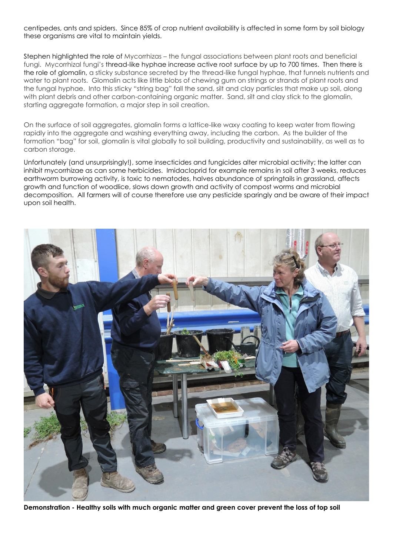centipedes, ants and spiders. Since 85% of crop nutrient availability is affected in some form by soil biology these organisms are vital to maintain yields.

Stephen highlighted the role of Mycorrhizas – the fungal associations between plant roots and beneficial fungi. Mycorrhizal fungi's thread-like hyphae increase active root surface by up to 700 times. Then there is the role of glomalin, a sticky substance secreted by the thread-like fungal hyphae, that funnels nutrients and water to plant roots. Glomalin acts like little blobs of chewing gum on strings or strands of plant roots and the fungal hyphae. Into this sticky "string bag" fall the sand, silt and clay particles that make up soil, along with plant debris and other carbon-containing organic matter. Sand, silt and clay stick to the glomalin, starting aggregate formation, a major step in soil creation.

On the surface of soil aggregates, glomalin forms a lattice-like waxy coating to keep water from flowing rapidly into the aggregate and washing everything away, including the carbon. As the builder of the formation "bag" for soil, glomalin is vital globally to soil building, productivity and sustainability, as well as to carbon storage.

Unfortunately (and unsurprisingly!), some insecticides and fungicides alter microbial activity; the latter can inhibit mycorrhizae as can some herbicides. Imidacloprid for example remains in soil after 3 weeks, reduces earthworm burrowing activity, is toxic to nematodes, halves abundance of springtails in grassland, affects growth and function of woodlice, slows down growth and activity of compost worms and microbial decomposition. All farmers will of course therefore use any pesticide sparingly and be aware of their impact upon soil health.



**Demonstration - Healthy soils with much organic matter and green cover prevent the loss of top soil**